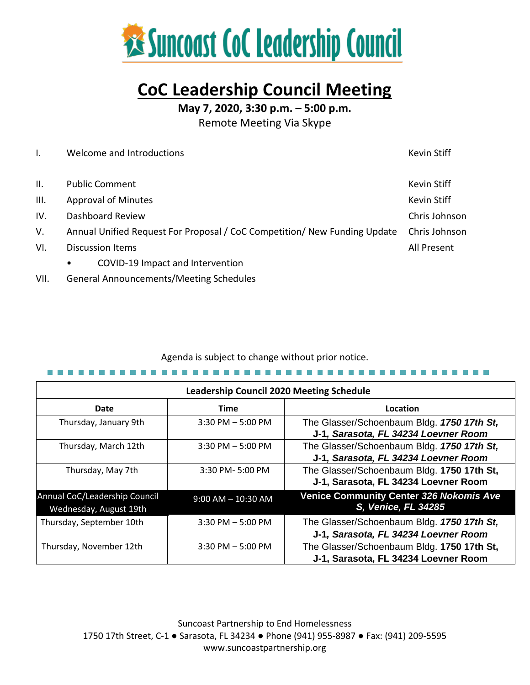

# **CoC Leadership Council Meeting**

**May 7, 2020, 3:30 p.m. – 5:00 p.m.**

Remote Meeting Via Skype

|                 | Welcome and Introductions                                                                  | Kevin Stiff   |  |
|-----------------|--------------------------------------------------------------------------------------------|---------------|--|
|                 |                                                                                            |               |  |
| $\mathbf{II}$ . | <b>Public Comment</b>                                                                      | Kevin Stiff   |  |
| III.            | <b>Approval of Minutes</b>                                                                 | Kevin Stiff   |  |
| IV.             | Dashboard Review                                                                           | Chris Johnson |  |
| V.              | Annual Unified Request For Proposal / CoC Competition/ New Funding Update<br>Chris Johnson |               |  |
| VI.             | <b>Discussion Items</b>                                                                    | All Present   |  |
|                 | COVID-19 Impact and Intervention<br>$\bullet$                                              |               |  |
|                 |                                                                                            |               |  |

VII. General Announcements/Meeting Schedules

# Agenda is subject to change without prior notice.

| <b>Leadership Council 2020 Meeting Schedule</b> |  |  |
|-------------------------------------------------|--|--|

| Leadership Council 2020 Meeting Schedule                |                        |                                                                                    |  |  |  |
|---------------------------------------------------------|------------------------|------------------------------------------------------------------------------------|--|--|--|
| Date                                                    | <b>Time</b>            | Location                                                                           |  |  |  |
| Thursday, January 9th                                   | $3:30$ PM $-5:00$ PM   | The Glasser/Schoenbaum Bldg. 1750 17th St,<br>J-1, Sarasota, FL 34234 Loevner Room |  |  |  |
| Thursday, March 12th                                    | $3:30$ PM $-5:00$ PM   | The Glasser/Schoenbaum Bldg. 1750 17th St,<br>J-1, Sarasota, FL 34234 Loevner Room |  |  |  |
| Thursday, May 7th                                       | 3:30 PM-5:00 PM        | The Glasser/Schoenbaum Bldg. 1750 17th St,<br>J-1, Sarasota, FL 34234 Loevner Room |  |  |  |
| Annual CoC/Leadership Council<br>Wednesday, August 19th | $9:00$ AM $-$ 10:30 AM | <b>Venice Community Center 326 Nokomis Ave</b><br>S, Venice, FL 34285              |  |  |  |
| Thursday, September 10th                                | $3:30$ PM $-5:00$ PM   | The Glasser/Schoenbaum Bldg. 1750 17th St,<br>J-1, Sarasota, FL 34234 Loevner Room |  |  |  |
| Thursday, November 12th                                 | $3:30$ PM $-5:00$ PM   | The Glasser/Schoenbaum Bldg. 1750 17th St,<br>J-1, Sarasota, FL 34234 Loevner Room |  |  |  |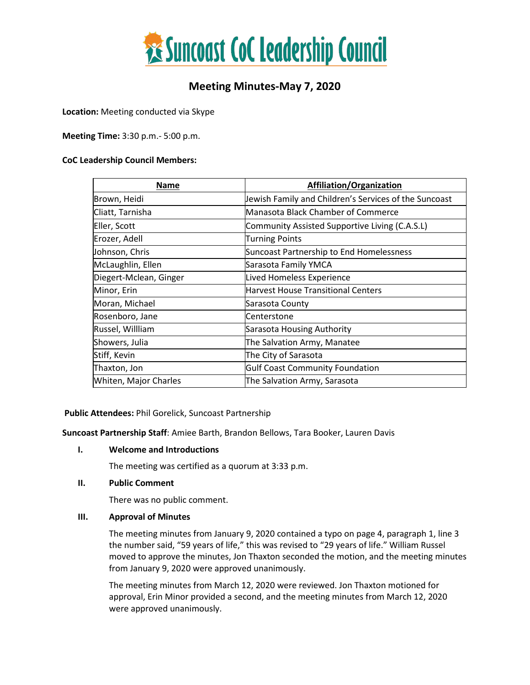

# **Meeting Minutes-May 7, 2020**

**Location:** Meeting conducted via Skype

**Meeting Time:** 3:30 p.m.- 5:00 p.m.

#### **CoC Leadership Council Members:**

| Name                   | <b>Affiliation/Organization</b>                       |
|------------------------|-------------------------------------------------------|
| Brown, Heidi           | Jewish Family and Children's Services of the Suncoast |
| Cliatt, Tarnisha       | Manasota Black Chamber of Commerce                    |
| Eller, Scott           | Community Assisted Supportive Living (C.A.S.L)        |
| Erozer, Adell          | <b>Turning Points</b>                                 |
| Johnson, Chris         | Suncoast Partnership to End Homelessness              |
| McLaughlin, Ellen      | Sarasota Family YMCA                                  |
| Diegert-Mclean, Ginger | Lived Homeless Experience                             |
| Minor, Erin            | <b>Harvest House Transitional Centers</b>             |
| Moran, Michael         | Sarasota County                                       |
| Rosenboro, Jane        | Centerstone                                           |
| Russel, Willliam       | Sarasota Housing Authority                            |
| Showers, Julia         | The Salvation Army, Manatee                           |
| Stiff, Kevin           | The City of Sarasota                                  |
| Thaxton, Jon           | <b>Gulf Coast Community Foundation</b>                |
| Whiten, Major Charles  | The Salvation Army, Sarasota                          |

**Public Attendees:** Phil Gorelick, Suncoast Partnership

**Suncoast Partnership Staff**: Amiee Barth, Brandon Bellows, Tara Booker, Lauren Davis

# **I. Welcome and Introductions**

The meeting was certified as a quorum at 3:33 p.m.

#### **II. Public Comment**

There was no public comment.

#### **III. Approval of Minutes**

The meeting minutes from January 9, 2020 contained a typo on page 4, paragraph 1, line 3 the number said, "59 years of life," this was revised to "29 years of life." William Russel moved to approve the minutes, Jon Thaxton seconded the motion, and the meeting minutes from January 9, 2020 were approved unanimously.

The meeting minutes from March 12, 2020 were reviewed. Jon Thaxton motioned for approval, Erin Minor provided a second, and the meeting minutes from March 12, 2020 were approved unanimously.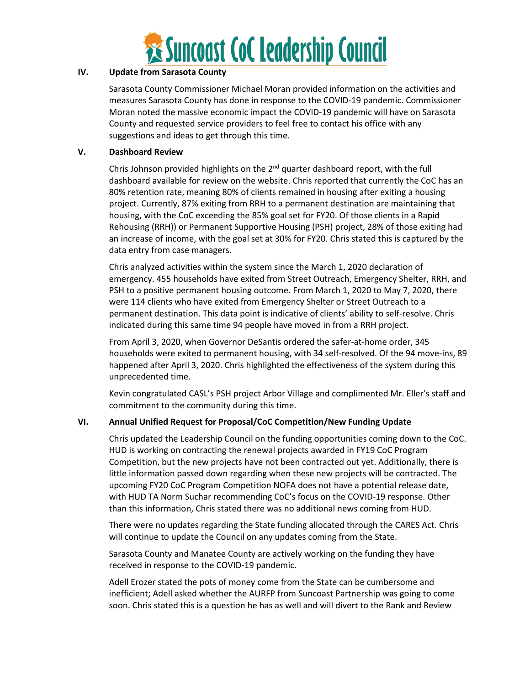

# **IV. Update from Sarasota County**

Sarasota County Commissioner Michael Moran provided information on the activities and measures Sarasota County has done in response to the COVID-19 pandemic. Commissioner Moran noted the massive economic impact the COVID-19 pandemic will have on Sarasota County and requested service providers to feel free to contact his office with any suggestions and ideas to get through this time.

#### **V. Dashboard Review**

Chris Johnson provided highlights on the  $2^{nd}$  quarter dashboard report, with the full dashboard available for review on the website. Chris reported that currently the CoC has an 80% retention rate, meaning 80% of clients remained in housing after exiting a housing project. Currently, 87% exiting from RRH to a permanent destination are maintaining that housing, with the CoC exceeding the 85% goal set for FY20. Of those clients in a Rapid Rehousing (RRH)) or Permanent Supportive Housing (PSH) project, 28% of those exiting had an increase of income, with the goal set at 30% for FY20. Chris stated this is captured by the data entry from case managers.

Chris analyzed activities within the system since the March 1, 2020 declaration of emergency. 455 households have exited from Street Outreach, Emergency Shelter, RRH, and PSH to a positive permanent housing outcome. From March 1, 2020 to May 7, 2020, there were 114 clients who have exited from Emergency Shelter or Street Outreach to a permanent destination. This data point is indicative of clients' ability to self-resolve. Chris indicated during this same time 94 people have moved in from a RRH project.

From April 3, 2020, when Governor DeSantis ordered the safer-at-home order, 345 households were exited to permanent housing, with 34 self-resolved. Of the 94 move-ins, 89 happened after April 3, 2020. Chris highlighted the effectiveness of the system during this unprecedented time.

Kevin congratulated CASL's PSH project Arbor Village and complimented Mr. Eller's staff and commitment to the community during this time.

# **VI. Annual Unified Request for Proposal/CoC Competition/New Funding Update**

Chris updated the Leadership Council on the funding opportunities coming down to the CoC. HUD is working on contracting the renewal projects awarded in FY19 CoC Program Competition, but the new projects have not been contracted out yet. Additionally, there is little information passed down regarding when these new projects will be contracted. The upcoming FY20 CoC Program Competition NOFA does not have a potential release date, with HUD TA Norm Suchar recommending CoC's focus on the COVID-19 response. Other than this information, Chris stated there was no additional news coming from HUD.

There were no updates regarding the State funding allocated through the CARES Act. Chris will continue to update the Council on any updates coming from the State.

Sarasota County and Manatee County are actively working on the funding they have received in response to the COVID-19 pandemic.

Adell Erozer stated the pots of money come from the State can be cumbersome and inefficient; Adell asked whether the AURFP from Suncoast Partnership was going to come soon. Chris stated this is a question he has as well and will divert to the Rank and Review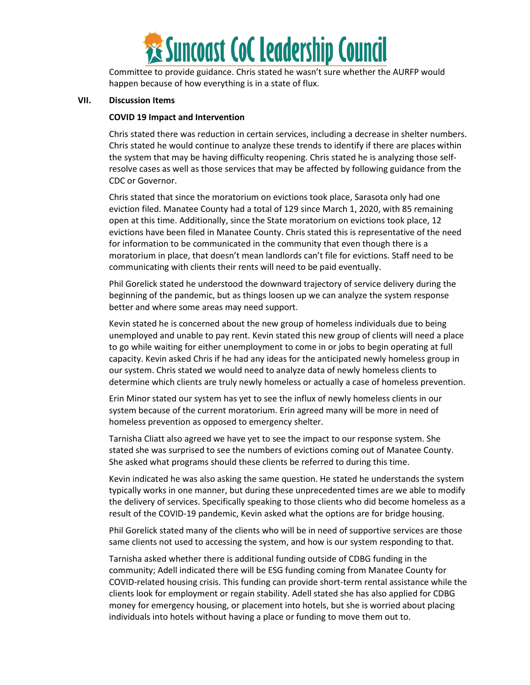

Committee to provide guidance. Chris stated he wasn't sure whether the AURFP would happen because of how everything is in a state of flux.

#### **VII. Discussion Items**

#### **COVID 19 Impact and Intervention**

Chris stated there was reduction in certain services, including a decrease in shelter numbers. Chris stated he would continue to analyze these trends to identify if there are places within the system that may be having difficulty reopening. Chris stated he is analyzing those selfresolve cases as well as those services that may be affected by following guidance from the CDC or Governor.

Chris stated that since the moratorium on evictions took place, Sarasota only had one eviction filed. Manatee County had a total of 129 since March 1, 2020, with 85 remaining open at this time. Additionally, since the State moratorium on evictions took place, 12 evictions have been filed in Manatee County. Chris stated this is representative of the need for information to be communicated in the community that even though there is a moratorium in place, that doesn't mean landlords can't file for evictions. Staff need to be communicating with clients their rents will need to be paid eventually.

Phil Gorelick stated he understood the downward trajectory of service delivery during the beginning of the pandemic, but as things loosen up we can analyze the system response better and where some areas may need support.

Kevin stated he is concerned about the new group of homeless individuals due to being unemployed and unable to pay rent. Kevin stated this new group of clients will need a place to go while waiting for either unemployment to come in or jobs to begin operating at full capacity. Kevin asked Chris if he had any ideas for the anticipated newly homeless group in our system. Chris stated we would need to analyze data of newly homeless clients to determine which clients are truly newly homeless or actually a case of homeless prevention.

Erin Minor stated our system has yet to see the influx of newly homeless clients in our system because of the current moratorium. Erin agreed many will be more in need of homeless prevention as opposed to emergency shelter.

Tarnisha Cliatt also agreed we have yet to see the impact to our response system. She stated she was surprised to see the numbers of evictions coming out of Manatee County. She asked what programs should these clients be referred to during this time.

Kevin indicated he was also asking the same question. He stated he understands the system typically works in one manner, but during these unprecedented times are we able to modify the delivery of services. Specifically speaking to those clients who did become homeless as a result of the COVID-19 pandemic, Kevin asked what the options are for bridge housing.

Phil Gorelick stated many of the clients who will be in need of supportive services are those same clients not used to accessing the system, and how is our system responding to that.

Tarnisha asked whether there is additional funding outside of CDBG funding in the community; Adell indicated there will be ESG funding coming from Manatee County for COVID-related housing crisis. This funding can provide short-term rental assistance while the clients look for employment or regain stability. Adell stated she has also applied for CDBG money for emergency housing, or placement into hotels, but she is worried about placing individuals into hotels without having a place or funding to move them out to.